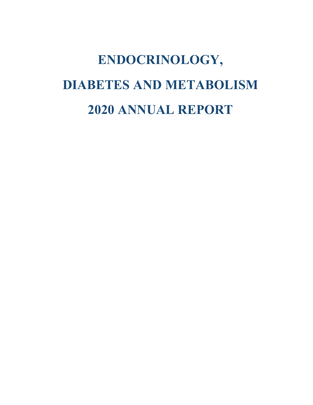# **ENDOCRINOLOGY, DIABETES AND METABOLISM 2020 ANNUAL REPORT**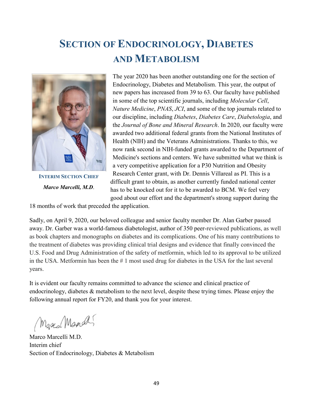# **SECTION OF ENDOCRINOLOGY, DIABETES AND METABOLISM**



**INTERIM SECTION CHIEF** *Marco Marcelli, M.D*.

The year 2020 has been another outstanding one for the section of Endocrinology, Diabetes and Metabolism. This year, the output of new papers has increased from 39 to 63. Our faculty have published in some of the top scientific journals, including *Molecular Cell*, *Nature Medicine*, *PNAS*, *JCI*, and some of the top journals related to our discipline, including *Diabetes*, *Diabetes Care*, *Diabetologia*, and the *Journal of Bone and Mineral Research*. In 2020, our faculty were awarded two additional federal grants from the National Institutes of Health (NIH) and the Veterans Administrations. Thanks to this, we now rank second in NIH-funded grants awarded to the Department of Medicine's sections and centers. We have submitted what we think is a very competitive application for a P30 Nutrition and Obesity Research Center grant, with Dr. Dennis Villareal as PI. This is a difficult grant to obtain, as another currently funded national center has to be knocked out for it to be awarded to BCM. We feel very good about our effort and the department's strong support during the

18 months of work that preceded the application.

Sadly, on April 9, 2020, our beloved colleague and senior faculty member Dr. Alan Garber passed away. Dr. Garber was a world-famous diabetologist, author of 350 peer-reviewed publications, as well as book chapters and monographs on diabetes and its complications. One of his many contributions to the treatment of diabetes was providing clinical trial designs and evidence that finally convinced the U.S. Food and Drug Administration of the safety of metformin, which led to its approval to be utilized in the USA. Metformin has been the # 1 most used drug for diabetes in the USA for the last several years.

It is evident our faculty remains committed to advance the science and clinical practice of endocrinology, diabetes & metabolism to the next level, despite these trying times. Please enjoy the following annual report for FY20, and thank you for your interest.

Marco Mando

Marco Marcelli M.D. Interim chief Section of Endocrinology, Diabetes & Metabolism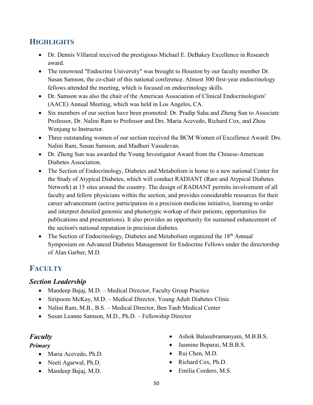# **HIGHLIGHTS**

- Dr. Dennis Villareal received the prestigious Michael E. DeBakey Excellence in Research award.
- The renowned "Endocrine University" was brought to Houston by our faculty member Dr. Susan Samson, the co-chair of this national conference. Almost 300 first-year endocrinology fellows attended the meeting, which is focused on endocrinology skills.
- Dr. Samson was also the chair of the American Association of Clinical Endocrinologists' (AACE) Annual Meeting, which was held in Los Angeles, CA.
- Six members of our section have been promoted: Dr. Pradip Saha and Zheng Sun to Associate Professor, Dr. Nalini Ram to Professor and Drs. Maria Acevedo, Richard Cox, and Zhou Wenjung to Instructor.
- Three outstanding women of our section received the BCM Women of Excellence Award: Drs. Nalini Ram, Susan Samson, and Madhuri Vasudevan.
- Dr. Zheng Sun was awarded the Young Investigator Award from the Chinese-American Diabetes Association.
- The Section of Endocrinology, Diabetes and Metabolism is home to a new national Center for the Study of Atypical Diabetes, which will conduct RADIANT (Rare and Atypical Diabetes Network) at 15 sites around the country. The design of RADIANT permits involvement of all faculty and fellow physicians within the section, and provides considerable resources for their career advancement (active participation in a precision medicine initiative, learning to order and interpret detailed genomic and phenotypic workup of their patients, opportunities for publications and presentations). It also provides an opportunity for sustained enhancement of the section's national reputation in precision diabetes.
- The Section of Endocrinology, Diabetes and Metabolism organized the 18<sup>th</sup> Annual Symposium on Advanced Diabetes Management for Endocrine Fellows under the directorship of Alan Garber, M.D.

# **FACULTY**

#### *Section Leadership*

- Mandeep Bajaj, M.D. Medical Director, Faculty Group Practice
- Siripoom McKay, M.D. Medical Director, Young Adult Diabetes Clinic
- Nalini Ram, M.B., B.S. Medical Director, Ben Taub Medical Center
- Susan Leanne Samson, M.D., Ph.D. Fellowship Director

#### *Faculty*

#### *Primary*

- Maria Acevedo, Ph.D.
- Neeti Agarwal, Ph.D.
- Mandeep Bajaj, M.D.
- Ashok Balasubramanyam, M.B.B.S.
- Jasmine Boparai, M.B.B.S.
- Rui Chen, M.D.
- Richard Cox, Ph.D.
- Emilia Cordero, M.S.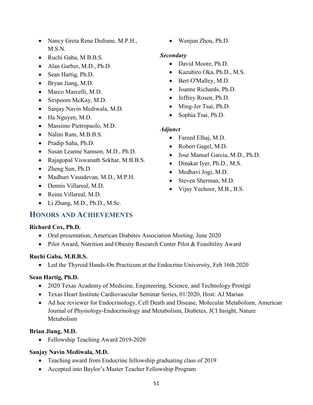- Nancy Greta Rene Dufrane, M.P.H., M.S.N.
- Ruchi Gaba, M.B.B.S.
- Alan Garber, M.D., Ph.D.
- Sean Hartig, Ph.D.
- Bryan Jiang, M.D.
- Marco Marcelli, M.D.
- Siripoom McKay, M.D.
- Sanjay Navin Mediwala, M.D.
- Ha Nguyen, M.D.
- Massimo Pietropaolo, M.D.
- Nalini Ram, M.B.B.S.
- Pradip Saha, Ph.D.
- Susan Leanne Samson, M.D., Ph.D.
- Rajagopal Viswanath Sekhar, M.B.B.S.
- Zheng Sun, Ph.D.
- Madhuri Vasudevan, M.D., M.P.H.
- Dennis Villareal, M.D.
- Reina Villareal, M.D.
- Li Zhang, M.D., Ph.D., M.Sc.

#### **HONORS AND ACHIEVEMENTS**

#### **Richard Cox, Ph.D.**

- Oral presentation, American Diabetes Association Meeting, June 2020
- Pilot Award, Nutrition and Obesity Research Center Pilot & Feasibility Award

#### **Ruchi Gaba, M.B.B.S.**

• Led the Thyroid Hands-On Practicum at the Endocrine University, Feb 16th 2020

#### **Sean Hartig, Ph.D.**

- 2020 Texas Academy of Medicine, Engineering, Science, and Technology Protégé
- Texas Heart Institute Cardiovascular Seminar Series, 01/2020, Host: AJ Marian
- Ad hoc reviewer for Endocrinology, Cell Death and Disease, Molecular Metabolism, American Journal of Physiology-Endocrinology and Metabolism, Diabetes, JCI Insight, Nature Metabolism

#### **Brian Jiang, M.D.**

• Fellowship Teaching Award 2019-2020

#### **Sanjay Navin Mediwala, M.D.**

- Teaching award from Endocrine fellowship graduating class of 2019
- Accepted into Baylor's Master Teacher Fellowship Program

• Wenjun Zhou, Ph.D.

#### *Secondary*

- David Moore, Ph.D.
- Kazuhiro Oka, Ph.D., M.S.
- Bert O'Malley, M.D.
- Joanne Richards, Ph.D.
- Jeffrey Rosen, Ph.D.
- Ming-Jer Tsai, Ph.D.
- Sophia Tsai, Ph.D.

#### *Adjunct*

- Fareed Elhaj, M.D.
- Robert Gagel, M.D.
- Jose Manuel Garcia, M.D., Ph.D.
- Dinakar Iyer, Ph.D., M.S.
- Medhavi Jogi, M.D.
- Steven Sherman, M.D.
- Vijay Yechoor, M.B., B.S.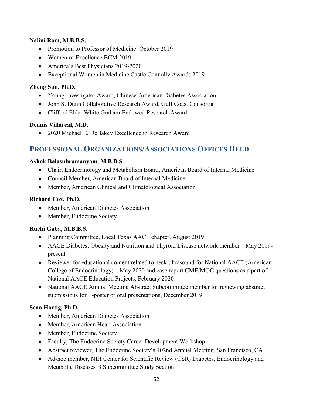#### **Nalini Ram, M.B.B.S.**

- Promotion to Professor of Medicine: October 2019
- Women of Excellence BCM 2019
- America's Best Physicians 2019-2020
- Exceptional Women in Medicine Castle Connolly Awards 2019

#### **Zheng Sun, Ph.D.**

- Young Investigator Award, Chinese-American Diabetes Association
- John S. Dunn Collaborative Research Award, Gulf Coast Consortia
- Clifford Elder White Graham Endowed Research Award

#### **Dennis Villareal, M.D.**

• 2020 Michael E. DeBakey Excellence in Research Award

# **PROFESSIONAL ORGANIZATIONS/ASSOCIATIONS OFFICES HELD**

#### **Ashok Balasubramanyam, M.B.B.S.**

- Chair, Endocrinology and Metabolism Board, American Board of Internal Medicine
- Council Member, American Board of Internal Medicine
- Member, American Clinical and Climatological Association

#### **Richard Cox, Ph.D.**

- Member, American Diabetes Association
- Member, Endocrine Society

#### **Ruchi Gaba, M.B.B.S.**

- Planning Committee, Local Texas AACE chapter, August 2019
- AACE Diabetes, Obesity and Nutrition and Thyroid Disease network member May 2019present
- Reviewer for educational content related to neck ultrasound for National AACE (American College of Endocrinology) – May 2020 and case report CME/MOC questions as a part of National AACE Education Projects, February 2020
- National AACE Annual Meeting Abstract Subcommittee member for reviewing abstract submissions for E-poster or oral presentations, December 2019

#### **Sean Hartig, Ph.D.**

- Member, American Diabetes Association
- Member, American Heart Association
- Member, Endocrine Society
- Faculty, The Endocrine Society Career Development Workshop
- Abstract reviewer, The Endocrine Society's 102nd Annual Meeting, San Francisco, CA
- Ad-hoc member, NIH Center for Scientific Review (CSR) Diabetes, Endocrinology and Metabolic Diseases B Subcommittee Study Section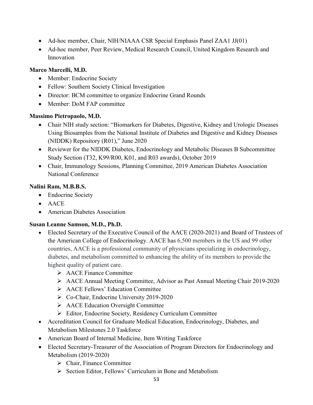- Ad-hoc member, Chair, NIH/NIAAA CSR Special Emphasis Panel ZAA1 JJ(01)
- Ad-hoc member, Peer Review, Medical Research Council, United Kingdom Research and Innovation

#### **Marco Marcelli, M.D.**

- Member: Endocrine Society
- Fellow: Southern Society Clinical Investigation
- Director: BCM committee to organize Endocrine Grand Rounds
- Member: DoM FAP committee

#### **Massimo Pietropaolo, M.D.**

- Chair NIH study section: "Biomarkers for Diabetes, Digestive, Kidney and Urologic Diseases Using Biosamples from the National Institute of Diabetes and Digestive and Kidney Diseases (NIDDK) Repository (R01)," June 2020
- Reviewer for the NIDDK Diabetes, Endocrinology and Metabolic Diseases B Subcommittee Study Section (T32, K99/R00, K01, and R03 awards), October 2019
- Chair, Immunology Sessions, Planning Committee, 2019 American Diabetes Association National Conference

#### **Nalini Ram, M.B.B.S.**

- Endocrine Society
- AACE
- American Diabetes Association

#### **Susan Leanne Samson, M.D., Ph.D.**

- Elected Secretary of the Executive Council of the AACE (2020-2021) and Board of Trustees of the American College of Endocrinology. AACE has 6,500 members in the US and 99 other countries, AACE is a professional community of physicians specializing in endocrinology, diabetes, and metabolism committed to enhancing the ability of its members to provide the highest quality of patient care.
	- AACE Finance Committee
	- AACE Annual Meeting Committee, Advisor as Past Annual Meeting Chair 2019-2020
	- AACE Fellows' Education Committee
	- Co-Chair, Endocrine University 2019-2020
	- AACE Education Oversight Committee
	- Editor, Endocrine Society, Residency Curriculum Committee
- Accreditation Council for Graduate Medical Education, Endocrinology, Diabetes, and Metabolism Milestones 2.0 Taskforce
- American Board of Internal Medicine, Item Writing Taskforce
- Elected Secretary-Treasurer of the Association of Program Directors for Endocrinology and Metabolism (2019-2020)
	- $\triangleright$  Chair, Finance Committee
	- Section Editor, Fellows' Curriculum in Bone and Metabolism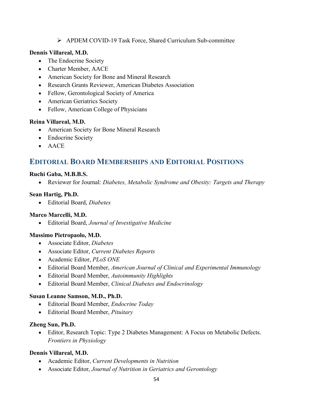#### APDEM COVID-19 Task Force, Shared Curriculum Sub-committee

#### **Dennis Villareal, M.D.**

- The Endocrine Society
- Charter Member, AACE
- American Society for Bone and Mineral Research
- Research Grants Reviewer, American Diabetes Association
- Fellow, Gerontological Society of America
- American Geriatrics Society
- Fellow, American College of Physicians

#### **Reina Villareal, M.D.**

- American Society for Bone Mineral Research
- Endocrine Society
- AACE

# **EDITORIAL BOARD MEMBERSHIPS AND EDITORIAL POSITIONS**

#### **Ruchi Gaba, M.B.B.S.**

• Reviewer for Journal: *Diabetes, Metabolic Syndrome and Obesity: Targets and Therapy*

#### **Sean Hartig, Ph.D.**

• Editorial Board, *Diabetes*

#### **Marco Marcelli, M.D.**

• Editorial Board, *Journal of Investigative Medicine*

#### **Massimo Pietropaolo, M.D.**

- Associate Editor, *Diabetes*
- Associate Editor, *Current Diabetes Reports*
- Academic Editor, *PLoS ONE*
- Editorial Board Member, *American Journal of Clinical and Experimental Immunology*
- Editorial Board Member, *Autoimmunity Highlights*
- Editorial Board Member, *Clinical Diabetes and Endocrinology*

#### **Susan Leanne Samson, M.D., Ph.D.**

- Editorial Board Member, *Endocrine Today*
- Editorial Board Member, *Pituitary*

#### **Zheng Sun, Ph.D.**

• Editor, Research Topic: Type 2 Diabetes Management: A Focus on Metabolic Defects. *Frontiers in Physiology*

#### **Dennis Villareal, M.D.**

- Academic Editor, *Current Developments in Nutrition*
- Associate Editor, *Journal of Nutrition in Geriatrics and Gerontology*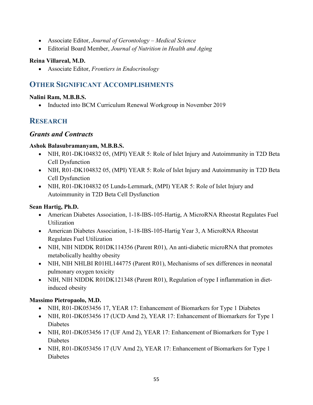- Associate Editor, *Journal of Gerontology – Medical Science*
- Editorial Board Member, *Journal of Nutrition in Health and Aging*

#### **Reina Villareal, M.D.**

• Associate Editor, *Frontiers in Endocrinology*

# **OTHER SIGNIFICANT ACCOMPLISHMENTS**

#### **Nalini Ram, M.B.B.S.**

• Inducted into BCM Curriculum Renewal Workgroup in November 2019

# **RESEARCH**

#### *Grants and Contracts*

#### **Ashok Balasubramanyam, M.B.B.S.**

- NIH, R01-DK104832 05, (MPI) YEAR 5: Role of Islet Injury and Autoimmunity in T2D Beta Cell Dysfunction
- NIH, R01-DK104832 05, (MPI) YEAR 5: Role of Islet Injury and Autoimmunity in T2D Beta Cell Dysfunction
- NIH, R01-DK104832 05 Lunds-Lernmark, (MPI) YEAR 5: Role of Islet Injury and Autoimmunity in T2D Beta Cell Dysfunction

#### **Sean Hartig, Ph.D.**

- American Diabetes Association, 1-18-IBS-105-Hartig, A MicroRNA Rheostat Regulates Fuel Utilization
- American Diabetes Association, 1-18-IBS-105-Hartig Year 3, A MicroRNA Rheostat Regulates Fuel Utilization
- NIH, NIH NIDDK R01DK114356 (Parent R01), An anti-diabetic microRNA that promotes metabolically healthy obesity
- NIH, NIH NHLBI R01HL144775 (Parent R01), Mechanisms of sex differences in neonatal pulmonary oxygen toxicity
- NIH, NIH NIDDK R01DK121348 (Parent R01), Regulation of type I inflammation in dietinduced obesity

#### **Massimo Pietropaolo, M.D.**

- NIH, R01-DK053456 17, YEAR 17: Enhancement of Biomarkers for Type 1 Diabetes
- NIH, R01-DK053456 17 (UCD Amd 2), YEAR 17: Enhancement of Biomarkers for Type 1 Diabetes
- NIH, R01-DK053456 17 (UF Amd 2), YEAR 17: Enhancement of Biomarkers for Type 1 Diabetes
- NIH, R01-DK053456 17 (UV Amd 2), YEAR 17: Enhancement of Biomarkers for Type 1 Diabetes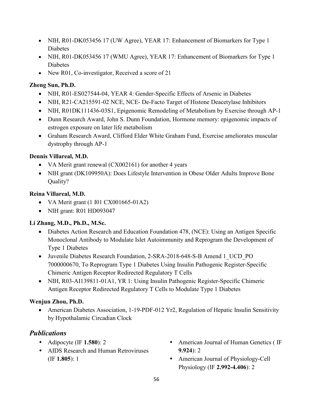- NIH, R01-DK053456 17 (UW Agree), YEAR 17: Enhancement of Biomarkers for Type 1 Diabetes
- NIH, R01-DK053456 17 (WMU Agree), YEAR 17: Enhancement of Biomarkers for Type 1 Diabetes
- New R01, Co-investigator, Received a score of 21

#### **Zheng Sun, Ph.D.**

- NIH, R01-ES027544-04, YEAR 4: Gender-Specific Effects of Arsenic in Diabetes
- NIH, R21-CA215591-02 NCE, NCE- De-Facto Target of Histone Deacetylase Inhibitors
- NIH, R01DK111436-03S1, Epigenomic Remodeling of Metabolism by Exercise through AP-1
- Dunn Research Award, John S. Dunn Foundation, Hormone memory: epigenomic impacts of estrogen exposure on later life metabolism
- Graham Research Award, Clifford Elder White Graham Fund, Exercise ameliorates muscular dystrophy through AP-1

#### **Dennis Villareal, M.D.**

- VA Merit grant renewal (CX002161) for another 4 years
- NIH grant (DK109950A): Does Lifestyle Intervention in Obese Older Adults Improve Bone Quality?

#### **Reina Villareal, M.D.**

- VA Merit grant (1 I01 CX001665-01A2)
- NIH grant: R01 HD093047

#### **Li Zhang, M.D., Ph.D., M.Sc.**

- Diabetes Action Research and Education Foundation 478, (NCE): Using an Antigen Specific Monoclonal Antibody to Modulate Islet Autoimmunity and Reprogram the Development of Type 1 Diabetes
- Juvenile Diabetes Research Foundation, 2-SRA-2018-648-S-B Amend 1 UCD PO 7000000670, To Reprogram Type 1 Diabetes Using Insulin Pathogenic Register-Specific Chimeric Antigen Receptor Redirected Regulatory T Cells
- NIH, R03-AI139811-01A1, YR 1: Using Insulin Pathogenic Register-Specific Chimeric Antigen Receptor Redirected Regulatory T Cells to Modulate Type 1 Diabetes

#### **Wenjun Zhou, Ph.D.**

• American Diabetes Association, 1-19-PDF-012 Yr2, Regulation of Hepatic Insulin Sensitivity by Hypothalamic Circadian Clock

# *Publications*

- Adipocyte (IF **1.580**): 2
- AIDS Research and Human Retroviruses (IF **1.805**): 1
- American Journal of Human Genetics ( IF **9.924**): 2
- American Journal of Physiology-Cell Physiology (IF **2.992-4.406**): 2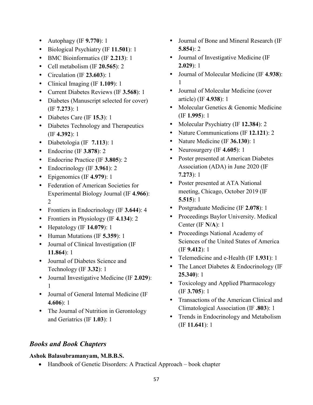- Autophagy (IF **9.770**): 1
- Biological Psychiatry (IF **11.501**): 1
- BMC Bioinformatics (IF **2.213**): 1
- Cell metabolism (IF **20.565**): 2
- Circulation (IF **23.603**): 1
- Clinical Imaging (IF **1.109**): 1
- Current Diabetes Reviews (IF **3.568**): 1
- Diabetes (Manuscript selected for cover) (IF **7.273**): 1
- Diabetes Care (IF **15.3**): 1
- Diabetes Technology and Therapeutics (IF **4.392**): 1
- Diabetologia (IF **7.113**): 1
- Endocrine (IF **3.878**): 2
- Endocrine Practice (IF **3.805**): 2
- Endocrinology (IF **3.961**): 2
- Epigenomics (IF **4.979**): 1
- Federation of American Societies for Experimental Biology Journal (IF **4.966**): 2
- Frontiers in Endocrinology (IF **3.644**): 4
- Frontiers in Physiology (IF **4.134**): 2
- Hepatology (IF **14.079**): 1
- Human Mutations (IF **5.359**): 1
- Journal of Clinical Investigation (IF **11.864**): 1
- Journal of Diabetes Science and Technology (IF **3.32**): 1
- Journal Investigative Medicine (IF **2.029**): 1
- Journal of General Internal Medicine (IF **4.606**): 1
- The Journal of Nutrition in Gerontology and Geriatrics (IF **1.03**): 1
- Journal of Bone and Mineral Research (IF **5.854**): 2
- Journal of Investigative Medicine (IF **2.029**): 1
- Journal of Molecular Medicine (IF **4.938**): 1
- Journal of Molecular Medicine (cover article) (IF **4.938**): 1
- Molecular Genetics & Genomic Medicine (IF **1.995**): 1
- Molecular Psychiatry (IF **12.384**): 2
- Nature Communications (IF **12.121**): 2
- Nature Medicine (IF **36.130**): 1
- Neurosurgery (IF **4.605**): 1
- Poster presented at American Diabetes Association (ADA) in June 2020 (IF **7.273**): 1
- Poster presented at ATA National meeting, Chicago, October 2019 (IF **5.515**): 1
- Postgraduate Medicine (IF **2.078**): 1
- Proceedings Baylor University. Medical Center (IF **N/A**): 1
- Proceedings National Academy of Sciences of the United States of America (IF **9.412**): 1
- Telemedicine and e-Health (IF **1.931**): 1
- The Lancet Diabetes & Endocrinology (IF **25.340**): 1
- Toxicology and Applied Pharmacology (IF **3.705**): 1
- Transactions of the American Clinical and Climatological Association (IF **.803**): 1
- Trends in Endocrinology and Metabolism (IF **11.641**): 1

### *Books and Book Chapters*

#### **Ashok Balasubramanyam, M.B.B.S.**

• Handbook of Genetic Disorders: A Practical Approach – book chapter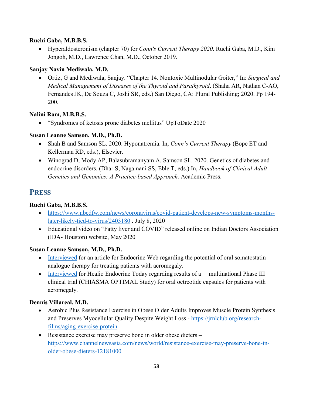#### **Ruchi Gaba, M.B.B.S.**

• Hyperaldosteronism (chapter 70) for *Conn's Current Therapy 2020*. Ruchi Gaba, M.D., Kim Jongoh, M.D., Lawrence Chan, M.D., October 2019.

#### **Sanjay Navin Mediwala, M.D.**

• Ortiz, G and Mediwala, Sanjay. "Chapter 14. Nontoxic Multinodular Goiter," In: *Surgical and Medical Management of Diseases of the Thyroid and Parathyroid*. (Shaha AR, Nathan C-AO, Fernandes JK, De Souza C, Joshi SR, eds.) San Diego, CA: Plural Publishing; 2020. Pp 194- 200.

#### **Nalini Ram, M.B.B.S.**

• "Syndromes of ketosis prone diabetes mellitus" UpToDate 2020

#### **Susan Leanne Samson, M.D., Ph.D.**

- Shah B and Samson SL. 2020. Hyponatremia. In, *Conn's Current Therapy* (Bope ET and Kellerman RD, eds.), Elsevier.
- Winograd D, Mody AP, Balasubramanyam A, Samson SL. 2020. Genetics of diabetes and endocrine disorders. (Dhar S, Nagamani SS, Eble T, eds.) In, *Handbook of Clinical Adult Genetics and Genomics: A Practice-based Approach,* Academic Press.

# **PRESS**

#### **Ruchi Gaba, M.B.B.S.**

- [https://www.nbcdfw.com/news/coronavirus/covid-patient-develops-new-symptoms-months](https://www.nbcdfw.com/news/coronavirus/covid-patient-develops-new-symptoms-months-later-likely-tied-to-virus/2403180)[later-likely-tied-to-virus/2403180](https://www.nbcdfw.com/news/coronavirus/covid-patient-develops-new-symptoms-months-later-likely-tied-to-virus/2403180) . July 8, 2020
- Educational video on "Fatty liver and COVID" released online on Indian Doctors Association (IDA- Houston) website, May 2020

#### **Susan Leanne Samson, M.D., Ph.D.**

- [Interviewed](https://www.endocrineweb.com/new-oral-acromegaly-treatment) for an article for Endocrine Web regarding the potential of oral somatostatin analogue therapy for treating patients with acromegaly.
- [Interviewed](https://www.healio.com/endocrinology/neuroendocrinology/news/online/%7Bd3e8933f-e270-4439-8048-7703e6050aed%7D/oral-therapy-shows-promise-as-injection-alternative-for-acromegaly) for Healio Endocrine Today regarding results of a multinational Phase III clinical trial (CHIASMA OPTIMAL Study) for oral octreotide capsules for patients with acromegaly.

#### **Dennis Villareal, M.D.**

- Aerobic Plus Resistance Exercise in Obese Older Adults Improves Muscle Protein Synthesis and Preserves Myocellular Quality Despite Weight Loss - [https://jrnlclub.org/research](https://jrnlclub.org/research-films/aging-exercise-protein)[films/aging-exercise-protein](https://jrnlclub.org/research-films/aging-exercise-protein)
- Resistance exercise may preserve bone in older obese dieters [https://www.channelnewsasia.com/news/world/resistance-exercise-may-preserve-bone-in](https://www.channelnewsasia.com/news/world/resistance-exercise-may-preserve-bone-in-older-obese-dieters-12181000)[older-obese-dieters-12181000](https://www.channelnewsasia.com/news/world/resistance-exercise-may-preserve-bone-in-older-obese-dieters-12181000)